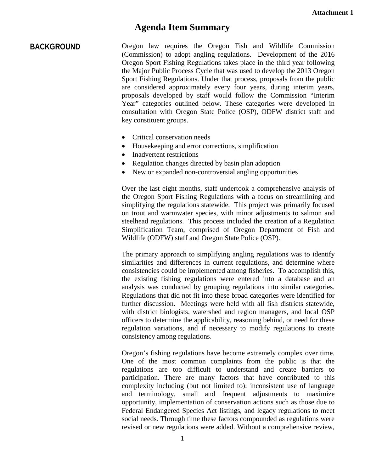## **Agenda Item Summary**

**BACKGROUND** Oregon law requires the Oregon Fish and Wildlife Commission (Commission) to adopt angling regulations. Development of the 2016 Oregon Sport Fishing Regulations takes place in the third year following the Major Public Process Cycle that was used to develop the 2013 Oregon Sport Fishing Regulations. Under that process, proposals from the public are considered approximately every four years, during interim years, proposals developed by staff would follow the Commission "Interim Year" categories outlined below. These categories were developed in consultation with Oregon State Police (OSP), ODFW district staff and key constituent groups.

- Critical conservation needs
- Housekeeping and error corrections, simplification
- Inadvertent restrictions
- Regulation changes directed by basin plan adoption
- New or expanded non-controversial angling opportunities

Over the last eight months, staff undertook a comprehensive analysis of the Oregon Sport Fishing Regulations with a focus on streamlining and simplifying the regulations statewide. This project was primarily focused on trout and warmwater species, with minor adjustments to salmon and steelhead regulations. This process included the creation of a Regulation Simplification Team, comprised of Oregon Department of Fish and Wildlife (ODFW) staff and Oregon State Police (OSP).

The primary approach to simplifying angling regulations was to identify similarities and differences in current regulations, and determine where consistencies could be implemented among fisheries. To accomplish this, the existing fishing regulations were entered into a database and an analysis was conducted by grouping regulations into similar categories. Regulations that did not fit into these broad categories were identified for further discussion. Meetings were held with all fish districts statewide, with district biologists, watershed and region managers, and local OSP officers to determine the applicability, reasoning behind, or need for these regulation variations, and if necessary to modify regulations to create consistency among regulations.

Oregon's fishing regulations have become extremely complex over time. One of the most common complaints from the public is that the regulations are too difficult to understand and create barriers to participation. There are many factors that have contributed to this complexity including (but not limited to): inconsistent use of language and terminology, small and frequent adjustments to maximize opportunity, implementation of conservation actions such as those due to Federal Endangered Species Act listings, and legacy regulations to meet social needs. Through time these factors compounded as regulations were revised or new regulations were added. Without a comprehensive review,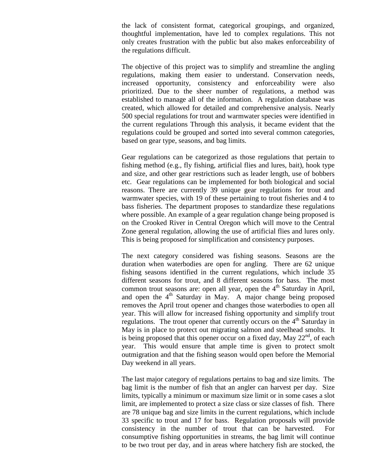the lack of consistent format, categorical groupings, and organized, thoughtful implementation, have led to complex regulations. This not only creates frustration with the public but also makes enforceability of the regulations difficult.

The objective of this project was to simplify and streamline the angling regulations, making them easier to understand. Conservation needs, increased opportunity, consistency and enforceability were also prioritized. Due to the sheer number of regulations, a method was established to manage all of the information. A regulation database was created, which allowed for detailed and comprehensive analysis. Nearly 500 special regulations for trout and warmwater species were identified in the current regulations Through this analysis, it became evident that the regulations could be grouped and sorted into several common categories, based on gear type, seasons, and bag limits.

Gear regulations can be categorized as those regulations that pertain to fishing method (e.g., fly fishing, artificial flies and lures, bait), hook type and size, and other gear restrictions such as leader length, use of bobbers etc. Gear regulations can be implemented for both biological and social reasons. There are currently 39 unique gear regulations for trout and warmwater species, with 19 of these pertaining to trout fisheries and 4 to bass fisheries. The department proposes to standardize these regulations where possible. An example of a gear regulation change being proposed is on the Crooked River in Central Oregon which will move to the Central Zone general regulation, allowing the use of artificial flies and lures only. This is being proposed for simplification and consistency purposes.

The next category considered was fishing seasons. Seasons are the duration when waterbodies are open for angling. There are 62 unique fishing seasons identified in the current regulations, which include 35 different seasons for trout, and 8 different seasons for bass. The most common trout seasons are: open all year, open the  $4<sup>th</sup>$  Saturday in April, and open the  $4<sup>th</sup>$  Saturday in May. A major change being proposed removes the April trout opener and changes those waterbodies to open all year. This will allow for increased fishing opportunity and simplify trout regulations. The trout opener that currently occurs on the  $4<sup>th</sup>$  Saturday in May is in place to protect out migrating salmon and steelhead smolts. It is being proposed that this opener occur on a fixed day, May  $22<sup>nd</sup>$ , of each year. This would ensure that ample time is given to protect smolt outmigration and that the fishing season would open before the Memorial Day weekend in all years.

The last major category of regulations pertains to bag and size limits. The bag limit is the number of fish that an angler can harvest per day. Size limits, typically a minimum or maximum size limit or in some cases a slot limit, are implemented to protect a size class or size classes of fish. There are 78 unique bag and size limits in the current regulations, which include 33 specific to trout and 17 for bass. Regulation proposals will provide consistency in the number of trout that can be harvested. For consumptive fishing opportunities in streams, the bag limit will continue to be two trout per day, and in areas where hatchery fish are stocked, the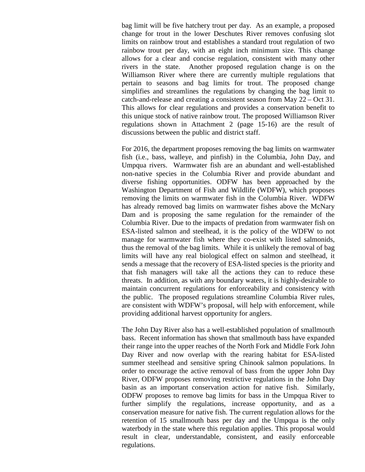bag limit will be five hatchery trout per day. As an example, a proposed change for trout in the lower Deschutes River removes confusing slot limits on rainbow trout and establishes a standard trout regulation of two rainbow trout per day, with an eight inch minimum size. This change allows for a clear and concise regulation, consistent with many other rivers in the state. Another proposed regulation change is on the Williamson River where there are currently multiple regulations that pertain to seasons and bag limits for trout. The proposed change simplifies and streamlines the regulations by changing the bag limit to catch-and-release and creating a consistent season from May 22 – Oct 31. This allows for clear regulations and provides a conservation benefit to this unique stock of native rainbow trout. The proposed Williamson River regulations shown in Attachment 2 (page 15-16) are the result of discussions between the public and district staff.

For 2016, the department proposes removing the bag limits on warmwater fish (i.e., bass, walleye, and pinfish) in the Columbia, John Day, and Umpqua rivers. Warmwater fish are an abundant and well-established non-native species in the Columbia River and provide abundant and diverse fishing opportunities. ODFW has been approached by the Washington Department of Fish and Wildlife (WDFW), which proposes removing the limits on warmwater fish in the Columbia River. WDFW has already removed bag limits on warmwater fishes above the McNary Dam and is proposing the same regulation for the remainder of the Columbia River. Due to the impacts of predation from warmwater fish on ESA-listed salmon and steelhead, it is the policy of the WDFW to not manage for warmwater fish where they co-exist with listed salmonids, thus the removal of the bag limits. While it is unlikely the removal of bag limits will have any real biological effect on salmon and steelhead, it sends a message that the recovery of ESA-listed species is the priority and that fish managers will take all the actions they can to reduce these threats. In addition, as with any boundary waters, it is highly-desirable to maintain concurrent regulations for enforceability and consistency with the public. The proposed regulations streamline Columbia River rules, are consistent with WDFW's proposal, will help with enforcement, while providing additional harvest opportunity for anglers.

The John Day River also has a well-established population of smallmouth bass. Recent information has shown that smallmouth bass have expanded their range into the upper reaches of the North Fork and Middle Fork John Day River and now overlap with the rearing habitat for ESA-listed summer steelhead and sensitive spring Chinook salmon populations. In order to encourage the active removal of bass from the upper John Day River, ODFW proposes removing restrictive regulations in the John Day basin as an important conservation action for native fish. Similarly, ODFW proposes to remove bag limits for bass in the Umpqua River to further simplify the regulations, increase opportunity, and as a conservation measure for native fish. The current regulation allows for the retention of 15 smallmouth bass per day and the Umpqua is the only waterbody in the state where this regulation applies. This proposal would result in clear, understandable, consistent, and easily enforceable regulations.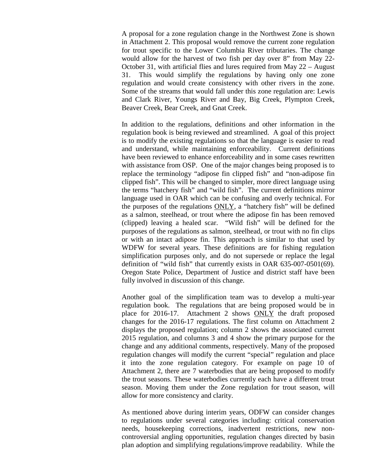A proposal for a zone regulation change in the Northwest Zone is shown in Attachment 2. This proposal would remove the current zone regulation for trout specific to the Lower Columbia River tributaries. The change would allow for the harvest of two fish per day over 8" from May 22- October 31, with artificial flies and lures required from May 22 – August 31. This would simplify the regulations by having only one zone regulation and would create consistency with other rivers in the zone. Some of the streams that would fall under this zone regulation are: Lewis and Clark River, Youngs River and Bay, Big Creek, Plympton Creek, Beaver Creek, Bear Creek, and Gnat Creek.

In addition to the regulations, definitions and other information in the regulation book is being reviewed and streamlined. A goal of this project is to modify the existing regulations so that the language is easier to read and understand, while maintaining enforceability. Current definitions have been reviewed to enhance enforceability and in some cases rewritten with assistance from OSP. One of the major changes being proposed is to replace the terminology "adipose fin clipped fish" and "non-adipose fin clipped fish". This will be changed to simpler, more direct language using the terms "hatchery fish" and "wild fish". The current definitions mirror language used in OAR which can be confusing and overly technical. For the purposes of the regulations ONLY, a "hatchery fish" will be defined as a salmon, steelhead, or trout where the adipose fin has been removed (clipped) leaving a healed scar. "Wild fish" will be defined for the purposes of the regulations as salmon, steelhead, or trout with no fin clips or with an intact adipose fin. This approach is similar to that used by WDFW for several years. These definitions are for fishing regulation simplification purposes only, and do not supersede or replace the legal definition of "wild fish" that currently exists in OAR 635-007-0501(69). Oregon State Police, Department of Justice and district staff have been fully involved in discussion of this change.

Another goal of the simplification team was to develop a multi-year regulation book. The regulations that are being proposed would be in place for 2016-17. Attachment 2 shows ONLY the draft proposed changes for the 2016-17 regulations. The first column on Attachment 2 displays the proposed regulation; column 2 shows the associated current 2015 regulation, and columns 3 and 4 show the primary purpose for the change and any additional comments, respectively. Many of the proposed regulation changes will modify the current "special" regulation and place it into the zone regulation category. For example on page 10 of Attachment 2, there are 7 waterbodies that are being proposed to modify the trout seasons. These waterbodies currently each have a different trout season. Moving them under the Zone regulation for trout season, will allow for more consistency and clarity.

As mentioned above during interim years, ODFW can consider changes to regulations under several categories including: critical conservation needs, housekeeping corrections, inadvertent restrictions, new noncontroversial angling opportunities, regulation changes directed by basin plan adoption and simplifying regulations/improve readability. While the